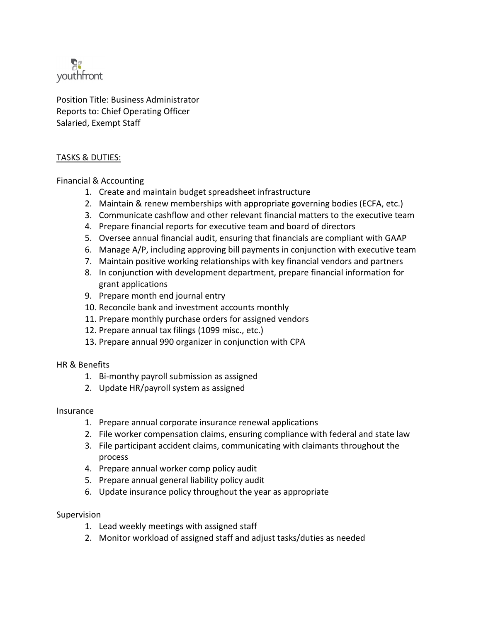

Position Title: Business Administrator Reports to: Chief Operating Officer Salaried, Exempt Staff

## TASKS & DUTIES:

Financial & Accounting

- 1. Create and maintain budget spreadsheet infrastructure
- 2. Maintain & renew memberships with appropriate governing bodies (ECFA, etc.)
- 3. Communicate cashflow and other relevant financial matters to the executive team
- 4. Prepare financial reports for executive team and board of directors
- 5. Oversee annual financial audit, ensuring that financials are compliant with GAAP
- 6. Manage A/P, including approving bill payments in conjunction with executive team
- 7. Maintain positive working relationships with key financial vendors and partners
- 8. In conjunction with development department, prepare financial information for grant applications
- 9. Prepare month end journal entry
- 10. Reconcile bank and investment accounts monthly
- 11. Prepare monthly purchase orders for assigned vendors
- 12. Prepare annual tax filings (1099 misc., etc.)
- 13. Prepare annual 990 organizer in conjunction with CPA

HR & Benefits

- 1. Bi-monthy payroll submission as assigned
- 2. Update HR/payroll system as assigned

## Insurance

- 1. Prepare annual corporate insurance renewal applications
- 2. File worker compensation claims, ensuring compliance with federal and state law
- 3. File participant accident claims, communicating with claimants throughout the process
- 4. Prepare annual worker comp policy audit
- 5. Prepare annual general liability policy audit
- 6. Update insurance policy throughout the year as appropriate

## Supervision

- 1. Lead weekly meetings with assigned staff
- 2. Monitor workload of assigned staff and adjust tasks/duties as needed